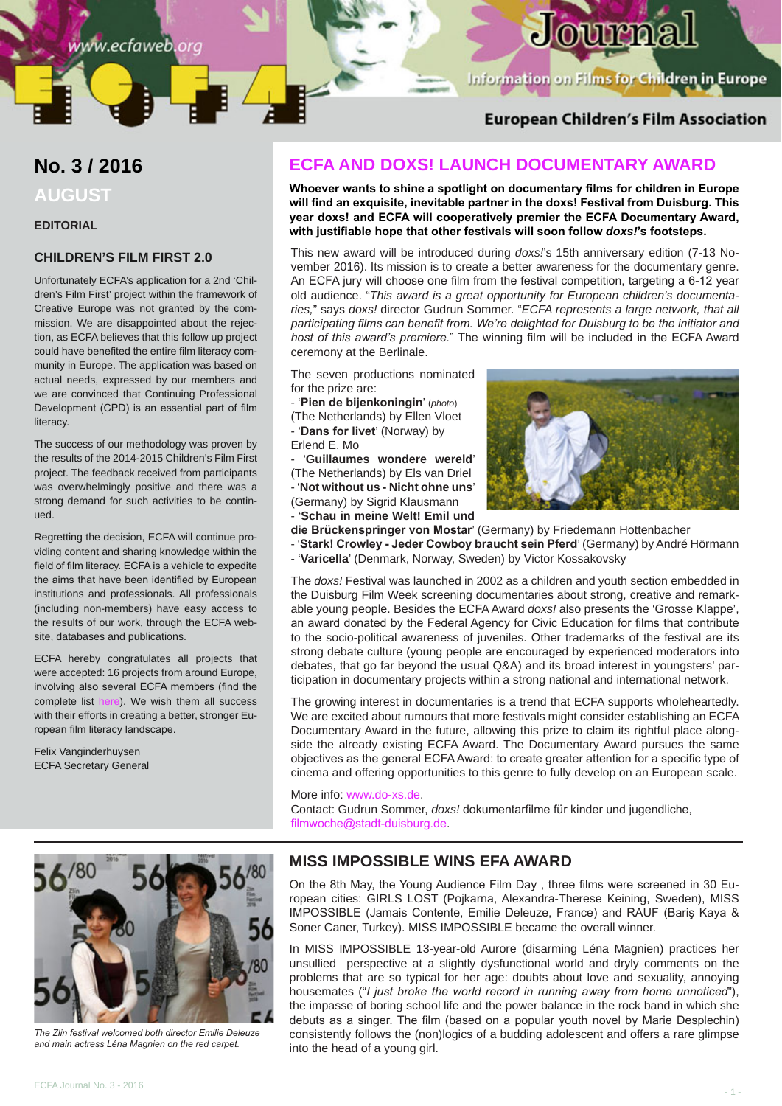# Journa

Information on Films for Children in Europe

## **European Children's Film Association**

## **No. 3 / 2016 AUGUST**

#### **EDITORIAL**

#### **CHILDREN'S FILM FIRST 2.0**

Unfortunately ECFA's application for a 2nd 'Children's Film First' project within the framework of Creative Europe was not granted by the commission. We are disappointed about the rejection, as ECFA believes that this follow up project could have benefited the entire film literacy community in Europe. The application was based on actual needs, expressed by our members and we are convinced that Continuing Professional Development (CPD) is an essential part of film literacy.

The success of our methodology was proven by the results of the 2014-2015 Children's Film First project. The feedback received from participants was overwhelmingly positive and there was a strong demand for such activities to be continued.

Regretting the decision, ECFA will continue providing content and sharing knowledge within the field of film literacy. ECFA is a vehicle to expedite the aims that have been identified by European institutions and professionals. All professionals (including non-members) have easy access to the results of our work, through the ECFA website, databases and publications.

ECFA hereby congratulates all projects that were accepted: 16 projects from around Europe, involving also several ECFA members (find the complete list [here](https://eacea.ec.europa.eu/sites/eacea-site/files/audev_publication_of_results_20161.pdf)). We wish them all success with their efforts in creating a better, stronger European film literacy landscape.

Felix Vanginderhuysen ECFA Secretary General

## **ECFA AND DOXS! LAUNCH DOCUMENTARY AWARD**

**Whoever wants to shine a spotlight on documentary films for children in Europe will find an exquisite, inevitable partner in the doxs! Festival from Duisburg. This year doxs! and ECFA will cooperatively premier the ECFA Documentary Award, with justifiable hope that other festivals will soon follow** *doxs!***'s footsteps.** 

This new award will be introduced during *doxs!*'s 15th anniversary edition (7-13 November 2016). Its mission is to create a better awareness for the documentary genre. An ECFA jury will choose one film from the festival competition, targeting a 6-12 year old audience. "*This award is a great opportunity for European children's documentaries,*" says *doxs!* director Gudrun Sommer. "*ECFA represents a large network, that all participating films can benefit from. We're delighted for Duisburg to be the initiator and host of this award's premiere.*" The winning film will be included in the ECFA Award ceremony at the Berlinale.

The seven productions nominated for the prize are:

- '**Pien de bijenkoningin**' (*photo*) (The Netherlands) by Ellen Vloet

- '**Dans for livet**' (Norway) by Erlend E. Mo

- '**Guillaumes wondere wereld**' (The Netherlands) by Els van Driel - '**Not without us - Nicht ohne uns**' (Germany) by Sigrid Klausmann - '**Schau in meine Welt! Emil und** 



**die Brückenspringer von Mostar**' (Germany) by Friedemann Hottenbacher

- '**Stark! Crowley - Jeder Cowboy braucht sein Pferd**' (Germany) by André Hörmann - '**Varicella**' (Denmark, Norway, Sweden) by Victor Kossakovsky

The *doxs!* Festival was launched in 2002 as a children and youth section embedded in the Duisburg Film Week screening documentaries about strong, creative and remarkable young people. Besides the ECFA Award *doxs!* also presents the 'Grosse Klappe', an award donated by the Federal Agency for Civic Education for films that contribute to the socio-political awareness of juveniles. Other trademarks of the festival are its strong debate culture (young people are encouraged by experienced moderators into debates, that go far beyond the usual Q&A) and its broad interest in youngsters' participation in documentary projects within a strong national and international network.

The growing interest in documentaries is a trend that ECFA supports wholeheartedly. We are excited about rumours that more festivals might consider establishing an ECFA Documentary Award in the future, allowing this prize to claim its rightful place alongside the already existing ECFA Award. The Documentary Award pursues the same objectives as the general ECFA Award: to create greater attention for a specific type of cinema and offering opportunities to this genre to fully develop on an European scale.

#### More info: [www.do-xs.de.](http://www.do-xs.de)

Contact: Gudrun Sommer, *doxs!* dokumentarfilme für kinder und jugendliche, [filmwoche@stadt-duisburg.de](mailto:filmwoche%40stadt-duisburg.de?subject=).



*The Zlin festival welcomed both director Emilie Deleuze and main actress Léna Magnien on the red carpet.*

## **MISS IMPOSSIBLE WINS EFA AWARD**

On the 8th May, the Young Audience Film Day , three films were screened in 30 European cities: GIRLS LOST (Pojkarna, Alexandra-Therese Keining, Sweden), MISS IMPOSSIBLE (Jamais Contente, Emilie Deleuze, France) and RAUF (Bariş Kaya & Soner Caner, Turkey). MISS IMPOSSIBLE became the overall winner.

In MISS IMPOSSIBLE 13-year-old Aurore (disarming Léna Magnien) practices her unsullied perspective at a slightly dysfunctional world and dryly comments on the problems that are so typical for her age: doubts about love and sexuality, annoying housemates ("*I just broke the world record in running away from home unnoticed*"), the impasse of boring school life and the power balance in the rock band in which she debuts as a singer. The film (based on a popular youth novel by Marie Desplechin) consistently follows the (non)logics of a budding adolescent and offers a rare glimpse into the head of a young girl.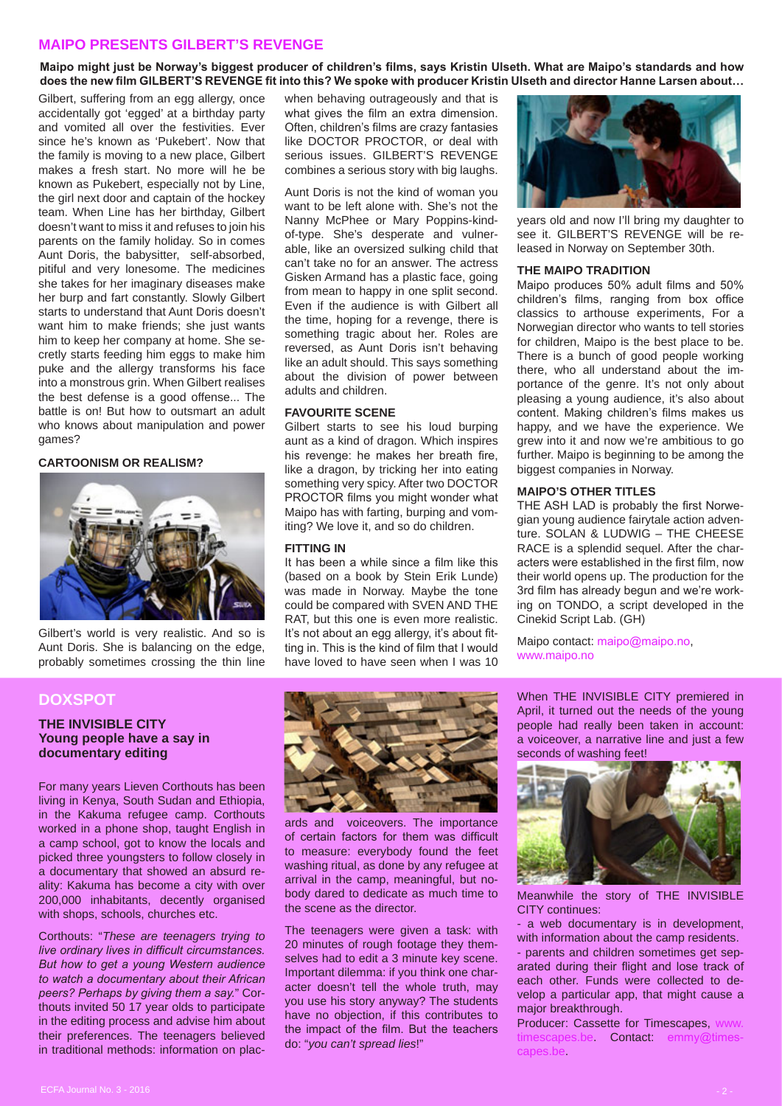#### **MAIPO PRESENTS GILBERT'S REVENGE**

**Maipo might just be Norway's biggest producer of children's films, says Kristin Ulseth. What are Maipo's standards and how does the new film GILBERT'S REVENGE fit into this? We spoke with producer Kristin Ulseth and director Hanne Larsen about…**

Gilbert, suffering from an egg allergy, once accidentally got 'egged' at a birthday party and vomited all over the festivities. Ever since he's known as 'Pukebert'. Now that the family is moving to a new place, Gilbert makes a fresh start. No more will he be known as Pukebert, especially not by Line, the girl next door and captain of the hockey team. When Line has her birthday, Gilbert doesn't want to miss it and refuses to join his parents on the family holiday. So in comes Aunt Doris, the babysitter, self-absorbed, pitiful and very lonesome. The medicines she takes for her imaginary diseases make her burp and fart constantly. Slowly Gilbert starts to understand that Aunt Doris doesn't want him to make friends; she just wants him to keep her company at home. She secretly starts feeding him eggs to make him puke and the allergy transforms his face into a monstrous grin. When Gilbert realises the best defense is a good offense... The battle is on! But how to outsmart an adult who knows about manipulation and power games?

#### **CARTOONISM OR REALISM?**



Gilbert's world is very realistic. And so is Aunt Doris. She is balancing on the edge, probably sometimes crossing the thin line

**DOXSPOT**

#### **THE INVISIBLE CITY Young people have a say in documentary editing**

For many years Lieven Corthouts has been living in Kenya, South Sudan and Ethiopia, in the Kakuma refugee camp. Corthouts worked in a phone shop, taught English in a camp school, got to know the locals and picked three youngsters to follow closely in a documentary that showed an absurd reality: Kakuma has become a city with over 200,000 inhabitants, decently organised with shops, schools, churches etc.

Corthouts: "*These are teenagers trying to live ordinary lives in difficult circumstances. But how to get a young Western audience to watch a documentary about their African peers? Perhaps by giving them a say.*" Corthouts invited 50 17 year olds to participate in the editing process and advise him about their preferences. The teenagers believed in traditional methods: information on placwhen behaving outrageously and that is what gives the film an extra dimension. Often, children's films are crazy fantasies like DOCTOR PROCTOR, or deal with serious issues. GILBERT'S REVENGE combines a serious story with big laughs.

Aunt Doris is not the kind of woman you want to be left alone with. She's not the Nanny McPhee or Mary Poppins-kindof-type. She's desperate and vulnerable, like an oversized sulking child that can't take no for an answer. The actress Gisken Armand has a plastic face, going from mean to happy in one split second. Even if the audience is with Gilbert all the time, hoping for a revenge, there is something tragic about her. Roles are reversed, as Aunt Doris isn't behaving like an adult should. This says something about the division of power between adults and children.

#### **FAVOURITE SCENE**

Gilbert starts to see his loud burping aunt as a kind of dragon. Which inspires his revenge: he makes her breath fire, like a dragon, by tricking her into eating something very spicy. After two DOCTOR PROCTOR films you might wonder what Maipo has with farting, burping and vomiting? We love it, and so do children.

#### **FITTING IN**

It has been a while since a film like this (based on a book by Stein Erik Lunde) was made in Norway. Maybe the tone could be compared with SVEN AND THE RAT, but this one is even more realistic. It's not about an egg allergy, it's about fitting in. This is the kind of film that I would have loved to have seen when I was 10

ards and voiceovers. The importance of certain factors for them was difficult to measure: everybody found the feet washing ritual, as done by any refugee at arrival in the camp, meaningful, but nobody dared to dedicate as much time to

The teenagers were given a task: with 20 minutes of rough footage they themselves had to edit a 3 minute key scene. Important dilemma: if you think one character doesn't tell the whole truth, may you use his story anyway? The students have no objection, if this contributes to the impact of the film. But the teachers

the scene as the director.

do: "*you can't spread lies*!"



years old and now I'll bring my daughter to see it. GILBERT'S REVENGE will be released in Norway on September 30th.

#### **THE MAIPO TRADITION**

Maipo produces 50% adult films and 50% children's films, ranging from box office classics to arthouse experiments, For a Norwegian director who wants to tell stories for children, Maipo is the best place to be. There is a bunch of good people working there, who all understand about the importance of the genre. It's not only about pleasing a young audience, it's also about content. Making children's films makes us happy, and we have the experience. We grew into it and now we're ambitious to go further. Maipo is beginning to be among the biggest companies in Norway.

#### **MAIPO'S OTHER TITLES**

THE ASH LAD is probably the first Norwegian young audience fairytale action adventure. SOLAN & LUDWIG – THE CHEESE RACE is a splendid sequel. After the characters were established in the first film, now their world opens up. The production for the 3rd film has already begun and we're working on TONDO, a script developed in the Cinekid Script Lab. (GH)

Maipo contact: [maipo@maipo.no](mailto:maipo%40maipo.no?subject=), [www.maipo.no](http://www.maipo.no)

When THE INVISIBLE CITY premiered in April, it turned out the needs of the young people had really been taken in account: a voiceover, a narrative line and just a few seconds of washing feet!



Meanwhile the story of THE INVISIBLE CITY continues:

- a web documentary is in development, with information about the camp residents. - parents and children sometimes get separated during their flight and lose track of each other. Funds were collected to develop a particular app, that might cause a major breakthrough.

Producer: Cassette for Timescapes, [timescapes.be.](http://www.timescapes.be) Contact: [emmy@times](mailto:emmy%40timescapes.be?subject=)[capes.be](mailto:emmy%40timescapes.be?subject=).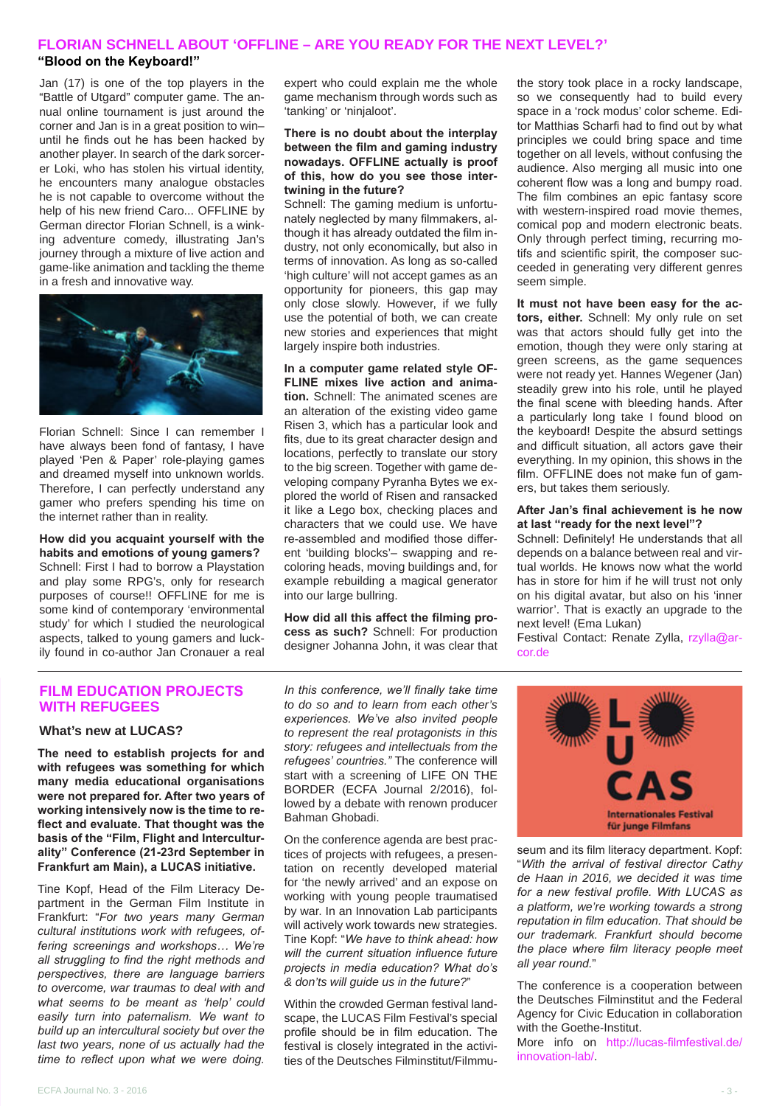## **FLORIAN SCHNELL ABOUT 'OFFLINE – ARE YOU READY FOR THE NEXT LEVEL?'**

#### **"Blood on the Keyboard!"**

Jan (17) is one of the top players in the "Battle of Utgard" computer game. The annual online tournament is just around the corner and Jan is in a great position to win– until he finds out he has been hacked by another player. In search of the dark sorcerer Loki, who has stolen his virtual identity, he encounters many analogue obstacles he is not capable to overcome without the help of his new friend Caro... OFFLINE by German director Florian Schnell, is a winking adventure comedy, illustrating Jan's journey through a mixture of live action and game-like animation and tackling the theme in a fresh and innovative way.



Florian Schnell: Since I can remember I have always been fond of fantasy, I have played 'Pen & Paper' role-playing games and dreamed myself into unknown worlds. Therefore, I can perfectly understand any gamer who prefers spending his time on the internet rather than in reality.

**How did you acquaint yourself with the habits and emotions of young gamers?**  Schnell: First I had to borrow a Playstation and play some RPG's, only for research purposes of course!! OFFLINE for me is some kind of contemporary 'environmental study' for which I studied the neurological aspects, talked to young gamers and luckily found in co-author Jan Cronauer a real expert who could explain me the whole game mechanism through words such as 'tanking' or 'ninjaloot'.

#### **There is no doubt about the interplay between the film and gaming industry nowadays. OFFLINE actually is proof of this, how do you see those intertwining in the future?**

Schnell: The gaming medium is unfortunately neglected by many filmmakers, although it has already outdated the film industry, not only economically, but also in terms of innovation. As long as so-called 'high culture' will not accept games as an opportunity for pioneers, this gap may only close slowly. However, if we fully use the potential of both, we can create new stories and experiences that might largely inspire both industries.

**In a computer game related style OF-FLINE mixes live action and animation.** Schnell: The animated scenes are an alteration of the existing video game Risen 3, which has a particular look and fits, due to its great character design and locations, perfectly to translate our story to the big screen. Together with game developing company Pyranha Bytes we explored the world of Risen and ransacked it like a Lego box, checking places and characters that we could use. We have re-assembled and modified those different 'building blocks'– swapping and recoloring heads, moving buildings and, for example rebuilding a magical generator into our large bullring.

**How did all this affect the filming process as such?** Schnell: For production designer Johanna John, it was clear that the story took place in a rocky landscape, so we consequently had to build every space in a 'rock modus' color scheme. Editor Matthias Scharfi had to find out by what principles we could bring space and time together on all levels, without confusing the audience. Also merging all music into one coherent flow was a long and bumpy road. The film combines an epic fantasy score with western-inspired road movie themes. comical pop and modern electronic beats. Only through perfect timing, recurring motifs and scientific spirit, the composer succeeded in generating very different genres seem simple.

**It must not have been easy for the actors, either.** Schnell: My only rule on set was that actors should fully get into the emotion, though they were only staring at green screens, as the game sequences were not ready yet. Hannes Wegener (Jan) steadily grew into his role, until he played the final scene with bleeding hands. After a particularly long take I found blood on the keyboard! Despite the absurd settings and difficult situation, all actors gave their everything. In my opinion, this shows in the film. OFFLINE does not make fun of gamers, but takes them seriously.

#### **After Jan's final achievement is he now at last "ready for the next level"?**

Schnell: Definitely! He understands that all depends on a balance between real and virtual worlds. He knows now what the world has in store for him if he will trust not only on his digital avatar, but also on his 'inner warrior'. That is exactly an upgrade to the next level! (Ema Lukan)

Festival Contact: Renate Zylla, [rzylla@ar](mailto:rzylla%40arcor.de?subject=)[cor.de](mailto:rzylla%40arcor.de?subject=)

#### **FILM EDUCATION PROJECTS WITH REFUGEES**

#### **What's new at LUCAS?**

**The need to establish projects for and with refugees was something for which many media educational organisations were not prepared for. After two years of working intensively now is the time to reflect and evaluate. That thought was the basis of the "Film, Flight and Interculturality" Conference (21-23rd September in Frankfurt am Main), a LUCAS initiative.**

Tine Kopf, Head of the Film Literacy Department in the German Film Institute in Frankfurt: "*For two years many German cultural institutions work with refugees, offering screenings and workshops… We're all struggling to find the right methods and perspectives, there are language barriers to overcome, war traumas to deal with and what seems to be meant as 'help' could easily turn into paternalism. We want to build up an intercultural society but over the last two years, none of us actually had the time to reflect upon what we were doing.* 

*In this conference, we'll finally take time to do so and to learn from each other's experiences. We've also invited people to represent the real protagonists in this story: refugees and intellectuals from the refugees' countries."* The conference will start with a screening of LIFE ON THE BORDER (ECFA Journal 2/2016), followed by a debate with renown producer Bahman Ghobadi.

On the conference agenda are best practices of projects with refugees, a presentation on recently developed material for 'the newly arrived' and an expose on working with young people traumatised by war. In an Innovation Lab participants will actively work towards new strategies. Tine Kopf: "*We have to think ahead: how will the current situation influence future projects in media education? What do's & don'ts will guide us in the future?*"

Within the crowded German festival landscape, the LUCAS Film Festival's special profile should be in film education. The festival is closely integrated in the activities of the Deutsches Filminstitut/Filmmu-



seum and its film literacy department. Kopf: "*With the arrival of festival director Cathy de Haan in 2016, we decided it was time for a new festival profile. With LUCAS as a platform, we're working towards a strong reputation in film education. That should be our trademark. Frankfurt should become the place where film literacy people meet all year round.*"

The conference is a cooperation between the Deutsches Filminstitut and the Federal Agency for Civic Education in collaboration with the Goethe-Institut.

More info on [http://lucas-filmfestival.de/](http://lucas-filmfestival.de/innovation-lab/) [innovation-lab/](http://lucas-filmfestival.de/innovation-lab/).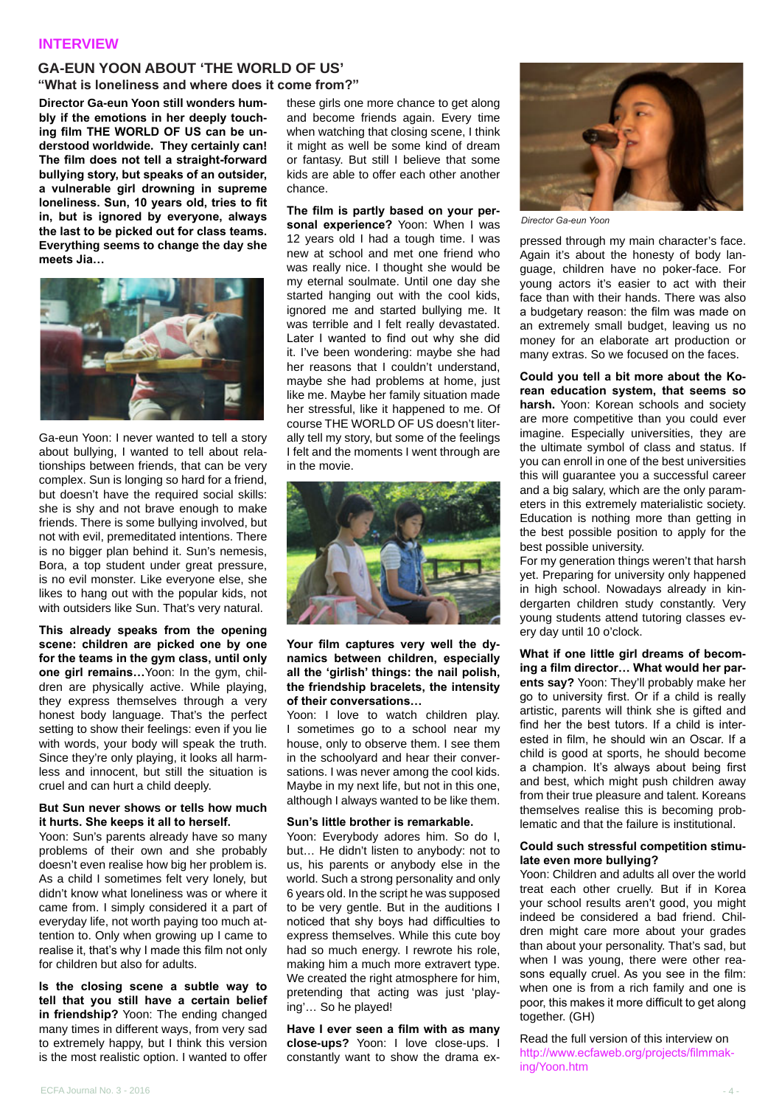#### **INTERVIEW**

## **GA-EUN YOON ABOUT 'THE WORLD OF US'**

**"What is loneliness and where does it come from?"**

**Director Ga-eun Yoon still wonders humbly if the emotions in her deeply touching film THE WORLD OF US can be understood worldwide. They certainly can! The film does not tell a straight-forward bullying story, but speaks of an outsider, a vulnerable girl drowning in supreme loneliness. Sun, 10 years old, tries to fit in, but is ignored by everyone, always the last to be picked out for class teams. Everything seems to change the day she meets Jia…**



Ga-eun Yoon: I never wanted to tell a story about bullying, I wanted to tell about relationships between friends, that can be very complex. Sun is longing so hard for a friend, but doesn't have the required social skills: she is shy and not brave enough to make friends. There is some bullying involved, but not with evil, premeditated intentions. There is no bigger plan behind it. Sun's nemesis, Bora, a top student under great pressure, is no evil monster. Like everyone else, she likes to hang out with the popular kids, not with outsiders like Sun. That's very natural.

**This already speaks from the opening scene: children are picked one by one for the teams in the gym class, until only one girl remains…**Yoon: In the gym, children are physically active. While playing, they express themselves through a very honest body language. That's the perfect setting to show their feelings: even if you lie with words, your body will speak the truth. Since they're only playing, it looks all harmless and innocent, but still the situation is cruel and can hurt a child deeply.

#### **But Sun never shows or tells how much it hurts. She keeps it all to herself.**

Yoon: Sun's parents already have so many problems of their own and she probably doesn't even realise how big her problem is. As a child I sometimes felt very lonely, but didn't know what loneliness was or where it came from. I simply considered it a part of everyday life, not worth paying too much attention to. Only when growing up I came to realise it, that's why I made this film not only for children but also for adults.

**Is the closing scene a subtle way to tell that you still have a certain belief in friendship?** Yoon: The ending changed many times in different ways, from very sad to extremely happy, but I think this version is the most realistic option. I wanted to offer

these girls one more chance to get along and become friends again. Every time when watching that closing scene, I think it might as well be some kind of dream or fantasy. But still I believe that some kids are able to offer each other another chance.

**The film is partly based on your personal experience?** Yoon: When I was 12 years old I had a tough time. I was new at school and met one friend who was really nice. I thought she would be my eternal soulmate. Until one day she started hanging out with the cool kids, ignored me and started bullying me. It was terrible and I felt really devastated. Later I wanted to find out why she did it. I've been wondering: maybe she had her reasons that I couldn't understand, maybe she had problems at home, just like me. Maybe her family situation made her stressful, like it happened to me. Of course THE WORLD OF US doesn't literally tell my story, but some of the feelings I felt and the moments I went through are in the movie.



**Your film captures very well the dynamics between children, especially all the 'girlish' things: the nail polish, the friendship bracelets, the intensity of their conversations…** 

Yoon: I love to watch children play. I sometimes go to a school near my house, only to observe them. I see them in the schoolyard and hear their conversations. I was never among the cool kids. Maybe in my next life, but not in this one. although I always wanted to be like them.

#### **Sun's little brother is remarkable.**

Yoon: Everybody adores him. So do I, but… He didn't listen to anybody: not to us, his parents or anybody else in the world. Such a strong personality and only 6 years old. In the script he was supposed to be very gentle. But in the auditions I noticed that shy boys had difficulties to express themselves. While this cute boy had so much energy. I rewrote his role, making him a much more extravert type. We created the right atmosphere for him, pretending that acting was just 'playing'… So he played!

**Have I ever seen a film with as many close-ups?** Yoon: I love close-ups. I constantly want to show the drama ex-



*Director Ga-eun Yoon*

pressed through my main character's face. Again it's about the honesty of body language, children have no poker-face. For young actors it's easier to act with their face than with their hands. There was also a budgetary reason: the film was made on an extremely small budget, leaving us no money for an elaborate art production or many extras. So we focused on the faces.

**Could you tell a bit more about the Korean education system, that seems so harsh.** Yoon: Korean schools and society are more competitive than you could ever imagine. Especially universities, they are the ultimate symbol of class and status. If you can enroll in one of the best universities this will guarantee you a successful career and a big salary, which are the only parameters in this extremely materialistic society. Education is nothing more than getting in the best possible position to apply for the best possible university.

For my generation things weren't that harsh yet. Preparing for university only happened in high school. Nowadays already in kindergarten children study constantly. Very young students attend tutoring classes every day until 10 o'clock.

**What if one little girl dreams of becoming a film director… What would her parents say?** Yoon: They'll probably make her go to university first. Or if a child is really artistic, parents will think she is gifted and find her the best tutors. If a child is interested in film, he should win an Oscar. If a child is good at sports, he should become a champion. It's always about being first and best, which might push children away from their true pleasure and talent. Koreans themselves realise this is becoming problematic and that the failure is institutional.

#### **Could such stressful competition stimulate even more bullying?**

Yoon: Children and adults all over the world treat each other cruelly. But if in Korea your school results aren't good, you might indeed be considered a bad friend. Children might care more about your grades than about your personality. That's sad, but when I was young, there were other reasons equally cruel. As you see in the film: when one is from a rich family and one is poor, this makes it more difficult to get along together. (GH)

Read the full version of this interview on [http://www.ecfaweb.org/projects/filmmak](http://www.ecfaweb.org/projects/filmmaking/Yoon.htm)[ing/Yoon.htm](http://www.ecfaweb.org/projects/filmmaking/Yoon.htm)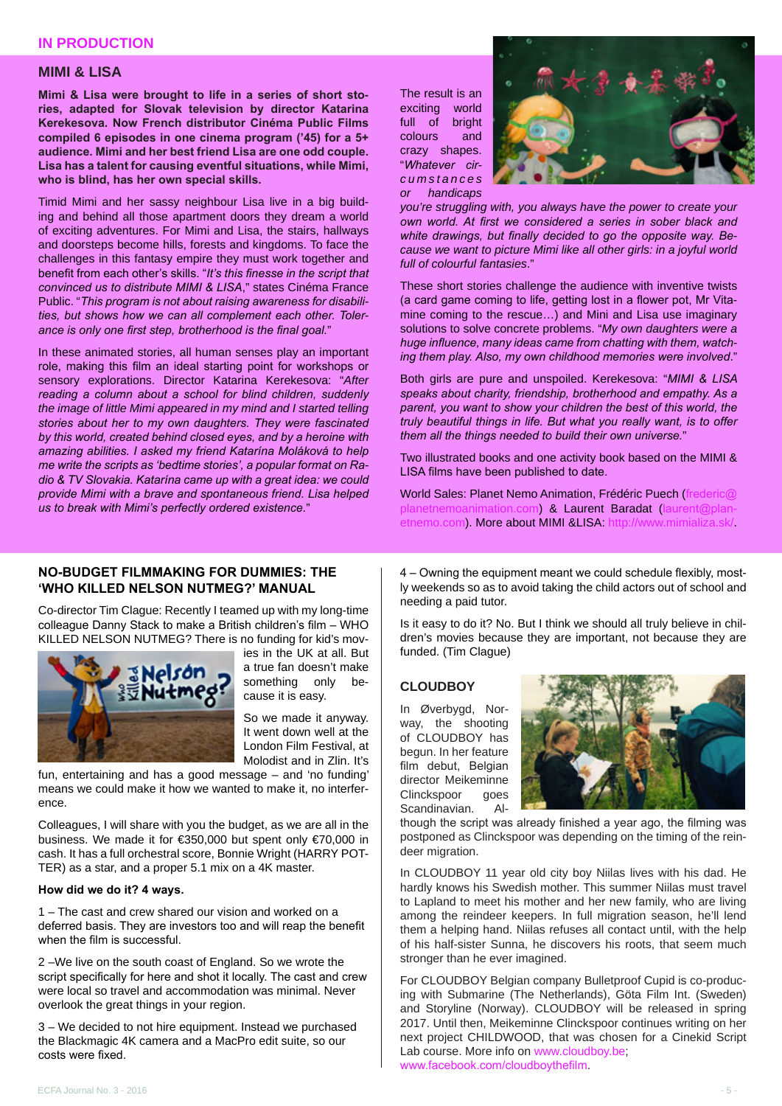#### **MIMI & LISA**

**Mimi & Lisa were brought to life in a series of short stories, adapted for Slovak television by director Katarina Kerekesova. Now French distributor Cinéma Public Films compiled 6 episodes in one cinema program ('45) for a 5+ audience. Mimi and her best friend Lisa are one odd couple. Lisa has a talent for causing eventful situations, while Mimi, who is blind, has her own special skills.** 

Timid Mimi and her sassy neighbour Lisa live in a big building and behind all those apartment doors they dream a world of exciting adventures. For Mimi and Lisa, the stairs, hallways and doorsteps become hills, forests and kingdoms. To face the challenges in this fantasy empire they must work together and benefit from each other's skills. "*It's this finesse in the script that convinced us to distribute MIMI & LISA*," states Cinéma France Public. "*This program is not about raising awareness for disabilities, but shows how we can all complement each other. Tolerance is only one first step, brotherhood is the final goal.*"

In these animated stories, all human senses play an important role, making this film an ideal starting point for workshops or sensory explorations. Director Katarina Kerekesova: "*After reading a column about a school for blind children, suddenly the image of little Mimi appeared in my mind and I started telling stories about her to my own daughters. They were fascinated by this world, created behind closed eyes, and by a heroine with amazing abilities. I asked my friend Katarína Moláková to help me write the scripts as 'bedtime stories', a popular format on Radio & TV Slovakia. Katarína came up with a great idea: we could provide Mimi with a brave and spontaneous friend. Lisa helped us to break with Mimi's perfectly ordered existence.*"

The result is an exciting world full of bright colours and crazy shapes. "*Whatever cir* $cum stances$ *or handicaps* 



*you're struggling with, you always have the power to create your own world. At first we considered a series in sober black and white drawings, but finally decided to go the opposite way. Because we want to picture Mimi like all other girls: in a joyful world full of colourful fantasies*."

These short stories challenge the audience with inventive twists (a card game coming to life, getting lost in a flower pot, Mr Vitamine coming to the rescue…) and Mini and Lisa use imaginary solutions to solve concrete problems. "*My own daughters were a huge influence, many ideas came from chatting with them, watching them play. Also, my own childhood memories were involved*."

Both girls are pure and unspoiled. Kerekesova: "*MIMI & LISA speaks about charity, friendship, brotherhood and empathy. As a parent, you want to show your children the best of this world, the truly beautiful things in life. But what you really want, is to offer them all the things needed to build their own universe.*"

Two illustrated books and one activity book based on the MIMI & LISA films have been published to date.

World Sales: Planet Nemo Animation, Frédéric Puech (f n) & Laurent Baradat (la [etnemo.com](mailto:laurent%40planetnemo.com?subject=)). More about MIMI &LISA: http://www.mimializa.sk

#### **NO-BUDGET FILMMAKING FOR DUMMIES: THE 'WHO KILLED NELSON NUTMEG?' MANUAL**

Co-director Tim Clague: Recently I teamed up with my long-time colleague Danny Stack to make a British children's film – WHO KILLED NELSON NUTMEG? There is no funding for kid's mov-



ies in the UK at all. But a true fan doesn't make something only because it is easy.

So we made it anyway. It went down well at the London Film Festival, at Molodist and in Zlin. It's

fun, entertaining and has a good message – and 'no funding' means we could make it how we wanted to make it, no interference.

Colleagues, I will share with you the budget, as we are all in the business. We made it for €350,000 but spent only €70,000 in cash. It has a full orchestral score, Bonnie Wright (HARRY POT-TER) as a star, and a proper 5.1 mix on a 4K master.

#### **How did we do it? 4 ways.**

1 – The cast and crew shared our vision and worked on a deferred basis. They are investors too and will reap the benefit when the film is successful.

2 –We live on the south coast of England. So we wrote the script specifically for here and shot it locally. The cast and crew were local so travel and accommodation was minimal. Never overlook the great things in your region.

3 – We decided to not hire equipment. Instead we purchased the Blackmagic 4K camera and a MacPro edit suite, so our costs were fixed.

4 – Owning the equipment meant we could schedule flexibly, mostly weekends so as to avoid taking the child actors out of school and needing a paid tutor.

Is it easy to do it? No. But I think we should all truly believe in children's movies because they are important, not because they are funded. (Tim Clague)

#### **CLOUDBOY**

In Øverbygd, Norway, the shooting of CLOUDBOY has begun. In her feature film debut, Belgian director Meikeminne<br>Clinckspoor aoes Clinckspoor Scandinavian. Al-



though the script was already finished a year ago, the filming was postponed as Clinckspoor was depending on the timing of the reindeer migration.

In CLOUDBOY 11 year old city boy Niilas lives with his dad. He hardly knows his Swedish mother. This summer Niilas must travel to Lapland to meet his mother and her new family, who are living among the reindeer keepers. In full migration season, he'll lend them a helping hand. Niilas refuses all contact until, with the help of his half-sister Sunna, he discovers his roots, that seem much stronger than he ever imagined.

For CLOUDBOY Belgian company Bulletproof Cupid is co-producing with Submarine (The Netherlands), Göta Film Int. (Sweden) and Storyline (Norway). CLOUDBOY will be released in spring 2017. Until then, Meikeminne Clinckspoor continues writing on her next project CHILDWOOD, that was chosen for a Cinekid Script Lab course. More info on [www.cloudboy.be](http://www.cloudboy.be); [www.facebook.com/cloudboythefilm](http://www.facebook.com/cloudboythefilm).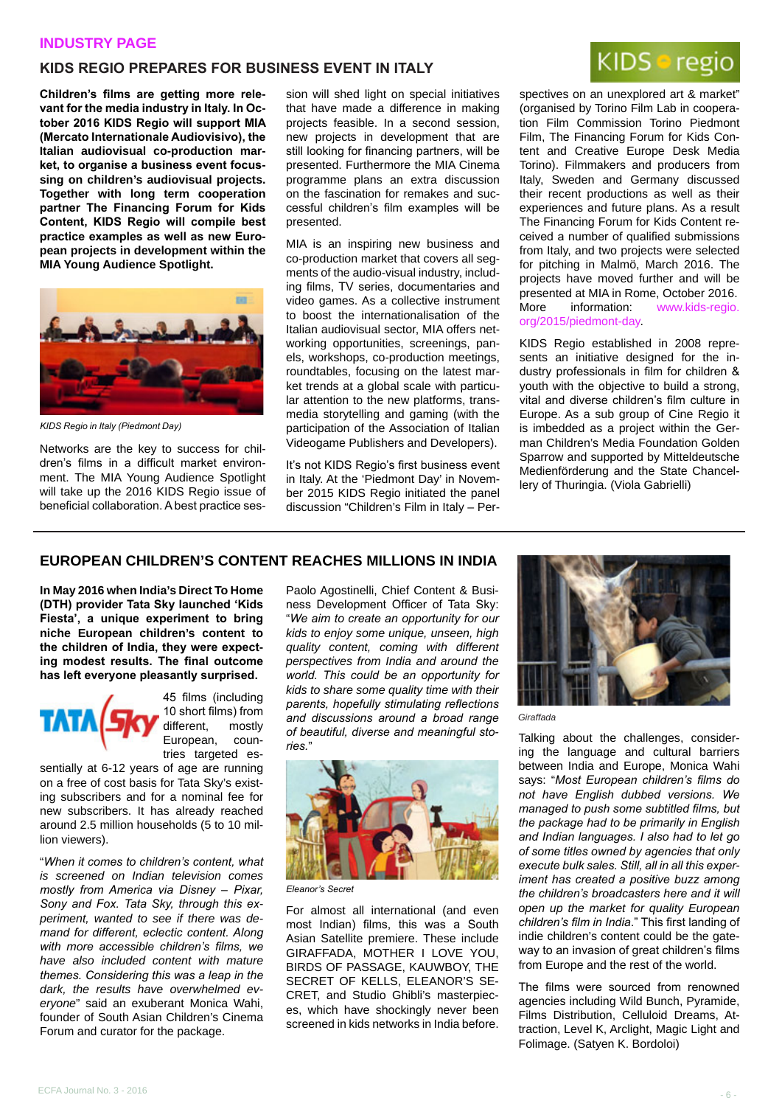#### **INDUSTRY PAGE**

## **KIDS REGIO PREPARES FOR BUSINESS EVENT IN ITALY**

**Children's films are getting more relevant for the media industry in Italy. In October 2016 KIDS Regio will support MIA (Mercato Internationale Audiovisivo), the Italian audiovisual co-production market, to organise a business event focussing on children's audiovisual projects. Together with long term cooperation partner The Financing Forum for Kids Content, KIDS Regio will compile best practice examples as well as new European projects in development within the MIA Young Audience Spotlight.**



*KIDS Regio in Italy (Piedmont Day)* 

Networks are the key to success for children's films in a difficult market environment. The MIA Young Audience Spotlight will take up the 2016 KIDS Regio issue of beneficial collaboration. A best practice session will shed light on special initiatives that have made a difference in making projects feasible. In a second session, new projects in development that are still looking for financing partners, will be presented. Furthermore the MIA Cinema programme plans an extra discussion on the fascination for remakes and successful children's film examples will be presented.

MIA is an inspiring new business and co-production market that covers all segments of the audio-visual industry, including films, TV series, documentaries and video games. As a collective instrument to boost the internationalisation of the Italian audiovisual sector, MIA offers networking opportunities, screenings, panels, workshops, co-production meetings, roundtables, focusing on the latest market trends at a global scale with particular attention to the new platforms, transmedia storytelling and gaming (with the participation of the Association of Italian Videogame Publishers and Developers).

It's not KIDS Regio's first business event in Italy. At the 'Piedmont Day' in November 2015 KIDS Regio initiated the panel discussion "Children's Film in Italy – Per-



spectives on an unexplored art & market" (organised by Torino Film Lab in cooperation Film Commission Torino Piedmont Film, The Financing Forum for Kids Content and Creative Europe Desk Media Torino). Filmmakers and producers from Italy, Sweden and Germany discussed their recent productions as well as their experiences and future plans. As a result The Financing Forum for Kids Content received a number of qualified submissions from Italy, and two projects were selected for pitching in Malmö, March 2016. The projects have moved further and will be presented at MIA in Rome, October 2016. More information: [www.kids-regio.](http://www.kids-regio.org/2015/piedmont-day) [org/2015/piedmont-day](http://www.kids-regio.org/2015/piedmont-day).

KIDS Regio established in 2008 represents an initiative designed for the industry professionals in film for children & youth with the objective to build a strong, vital and diverse children's film culture in Europe. As a sub group of Cine Regio it is imbedded as a project within the German Children's Media Foundation Golden Sparrow and supported by Mitteldeutsche Medienförderung and the State Chancellery of Thuringia. (Viola Gabrielli)

#### **EUROPEAN CHILDREN'S CONTENT REACHES MILLIONS IN INDIA**

**In May 2016 when India's Direct To Home (DTH) provider Tata Sky launched 'Kids Fiesta', a unique experiment to bring niche European children's content to the children of India, they were expecting modest results. The final outcome has left everyone pleasantly surprised.**



45 films (including 10 short films) from different, mostly European, countries targeted es-

sentially at 6-12 years of age are running on a free of cost basis for Tata Sky's existing subscribers and for a nominal fee for new subscribers. It has already reached around 2.5 million households (5 to 10 million viewers).

"*When it comes to children's content, what is screened on Indian television comes mostly from America via Disney – Pixar, Sony and Fox. Tata Sky, through this experiment, wanted to see if there was demand for different, eclectic content. Along with more accessible children's films, we have also included content with mature themes. Considering this was a leap in the dark, the results have overwhelmed everyone*" said an exuberant Monica Wahi, founder of South Asian Children's Cinema Forum and curator for the package.

Paolo Agostinelli, Chief Content & Business Development Officer of Tata Sky: "*We aim to create an opportunity for our kids to enjoy some unique, unseen, high quality content, coming with different perspectives from India and around the world. This could be an opportunity for kids to share some quality time with their parents, hopefully stimulating reflections and discussions around a broad range of beautiful, diverse and meaningful stories.*"



*Eleanor's Secret*

For almost all international (and even most Indian) films, this was a South Asian Satellite premiere. These include GIRAFFADA, MOTHER I LOVE YOU, BIRDS OF PASSAGE, KAUWBOY, THE SECRET OF KELLS, ELEANOR'S SE-CRET, and Studio Ghibli's masterpieces, which have shockingly never been screened in kids networks in India before.



*Giraffada*

Talking about the challenges, considering the language and cultural barriers between India and Europe, Monica Wahi says: "*Most European children's films do not have English dubbed versions. We managed to push some subtitled films, but the package had to be primarily in English and Indian languages. I also had to let go of some titles owned by agencies that only execute bulk sales. Still, all in all this experiment has created a positive buzz among the children's broadcasters here and it will open up the market for quality European children's film in India*." This first landing of indie children's content could be the gateway to an invasion of great children's films from Europe and the rest of the world.

The films were sourced from renowned agencies including Wild Bunch, Pyramide, Films Distribution, Celluloid Dreams, Attraction, Level K, Arclight, Magic Light and Folimage. (Satyen K. Bordoloi)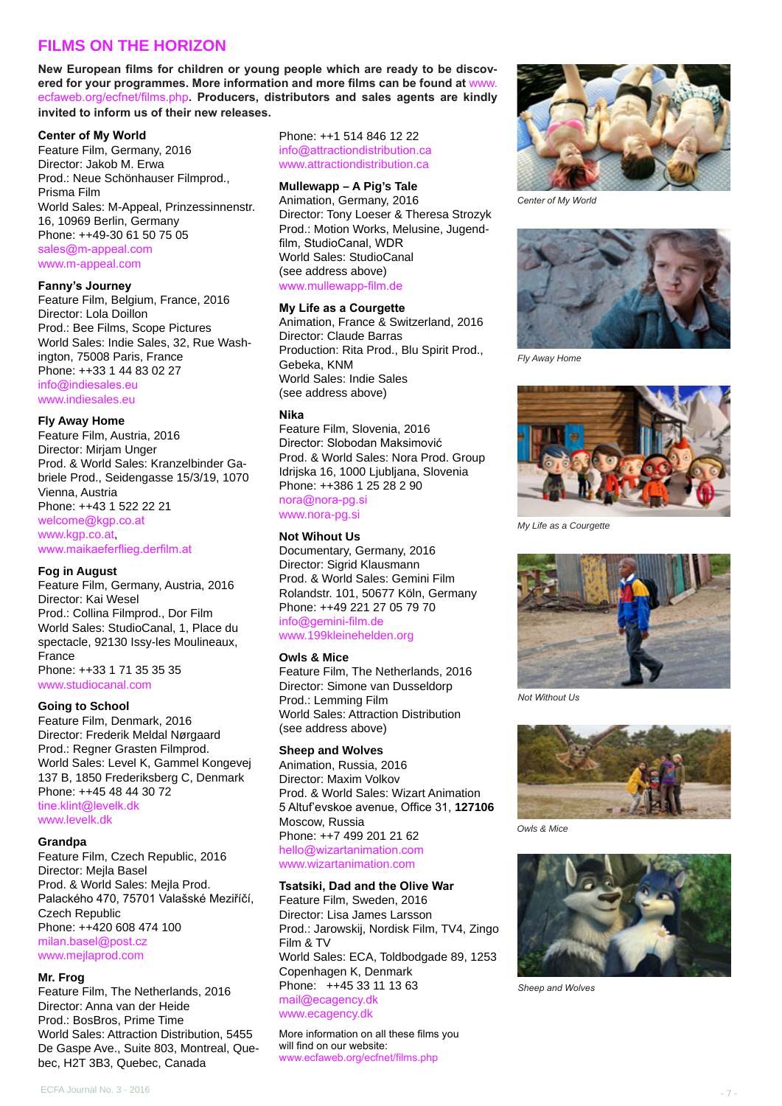## **FILMS ON THE HORIZON**

**New European films for children or young people which are ready to be discovered for your programmes. More information and more films can be found at** [www.](http://www.ecfaweb.org/ecfnet/films.php) [ecfaweb.org/ecfnet/films.php](http://www.ecfaweb.org/ecfnet/films.php)**. Producers, distributors and sales agents are kindly invited to inform us of their new releases.**

#### **Center of My World**

Feature Film, Germany, 2016 Director: Jakob M. Erwa Prod.: Neue Schönhauser Filmprod., Prisma Film World Sales: M-Appeal, Prinzessinnenstr. 16, 10969 Berlin, Germany Phone: ++49-30 61 50 75 05 [sales@m-appeal.com](mailto:sales%40m-appeal.com?subject=) [www.m-appeal.com](http://www.m-appeal.com)

#### **Fanny's Journey**

Feature Film, Belgium, France, 2016 Director: Lola Doillon Prod.: Bee Films, Scope Pictures World Sales: Indie Sales, 32, Rue Washington, 75008 Paris, France Phone: ++33 1 44 83 02 27 [info@indiesales.eu](mailto:info%40indiesales.eu?subject=) [www.indiesales.eu](http://info@indiesales.eu)

#### **Fly Away Home**

Feature Film, Austria, 2016 Director: Mirjam Unger Prod. & World Sales: Kranzelbinder Gabriele Prod., Seidengasse 15/3/19, 1070 Vienna, Austria Phone: ++43 1 522 22 21 [welcome@kgp.co.at](mailto:welcome%40kgp.co.at?subject=) [www.kgp.co.at](http://www.kgp.co.at), [www.maikaeferflieg.derfilm.at](http://www.maikaeferflieg.derfilm.at
)

#### **Fog in August**

Feature Film, Germany, Austria, 2016 Director: Kai Wesel Prod.: Collina Filmprod., Dor Film World Sales: StudioCanal, 1, Place du spectacle, 92130 Issy-les Moulineaux, France Phone: ++33 1 71 35 35 35

[www.studiocanal.com](http://www.studiocanal.com) **Going to School**

Feature Film, Denmark, 2016 Director: Frederik Meldal Nørgaard Prod.: Regner Grasten Filmprod. World Sales: Level K, Gammel Kongevej 137 B, 1850 Frederiksberg C, Denmark Phone: ++45 48 44 30 72 [tine.klint@levelk.dk](mailto:tine.klint%40levelk.dk?subject=) [www.levelk.dk](http://www.levelk.dk)

#### **Grandpa**

Feature Film, Czech Republic, 2016 Director: Mejla Basel Prod. & World Sales: Mejla Prod. Palackého 470, 75701 Valašské Meziříčí, Czech Republic Phone: ++420 608 474 100 [milan.basel@post.cz](mailto:milan.basel%40post.cz?subject=) [www.mejlaprod.com](http://www.mejlaprod.com)

#### **Mr. Frog**

Feature Film, The Netherlands, 2016 Director: Anna van der Heide Prod.: BosBros, Prime Time World Sales: Attraction Distribution, 5455 De Gaspe Ave., Suite 803, Montreal, Quebec, H2T 3B3, Quebec, Canada

Phone: ++1 514 846 12 22 [info@attractiondistribution.ca](mailto:info%40attractiondistribution.ca?subject=) [www.attractiondistribution.ca](http://www.attractiondistribution.ca)

#### **Mullewapp – A Pig's Tale**

Animation, Germany, 2016 Director: Tony Loeser & Theresa Strozyk Prod.: Motion Works, Melusine, Jugendfilm, StudioCanal, WDR World Sales: StudioCanal (see address above) [www.mullewapp-film.de](http://www.mullewapp-film.de
)

#### **My Life as a Courgette**

Animation, France & Switzerland, 2016 Director: Claude Barras Production: Rita Prod., Blu Spirit Prod., Gebeka, KNM World Sales: Indie Sales (see address above)

#### **Nika**

Feature Film, Slovenia, 2016 Director: Slobodan Maksimović Prod. & World Sales: Nora Prod. Group Idrijska 16, 1000 Ljubljana, Slovenia Phone: ++386 1 25 28 2 90 [nora@nora-pg.si](mailto:nora%40nora-pg.si?subject=) [www.nora-pg.si](http://www.nora-pg.si)

#### **Not Wihout Us**

Documentary, Germany, 2016 Director: Sigrid Klausmann Prod. & World Sales: Gemini Film Rolandstr. 101, 50677 Köln, Germany Phone: ++49 221 27 05 79 70 [info@gemini-film.de](mailto:info%40gemini-film.de?subject=) [www.199kleinehelden.org](http://www.199kleinehelden.org)

#### **Owls & Mice**

Feature Film, The Netherlands, 2016 Director: Simone van Dusseldorp Prod.: Lemming Film World Sales: Attraction Distribution (see address above)

#### **Sheep and Wolves**

Animation, Russia, 2016 Director: Maxim Volkov Prod. & World Sales: Wizart Animation 5 Altuf'evskoe avenue, Office 31, **127106**  Moscow, Russia Phone: ++7 499 201 21 62 [hello@wizartanimation.com](mailto:hello%40wizartanimation.com?subject=) [www.wizartanimation.com](http://www.wizartanimation.com)

#### **Tsatsiki, Dad and the Olive War**

Feature Film, Sweden, 2016 Director: Lisa James Larsson Prod.: Jarowskij, Nordisk Film, TV4, Zingo Film & TV World Sales: ECA, Toldbodgade 89, 1253 Copenhagen K, Denmark Phone: ++45 33 11 13 63 [mail@ecagency.dk](mailto:mail%40ecagency.dk?subject=) [www.ecagency.dk](http://www.ecagency.dk)

More information on all these films you will find on our website: [www.ecfaweb.org/ecfnet/films.php](http://www.ecfaweb.org/ecfnet/films.php)



*Center of My World*



*Fly Away Home*



*My Life as a Courgette*



*Not Without Us*



*Owls & Mice*



*Sheep and Wolves*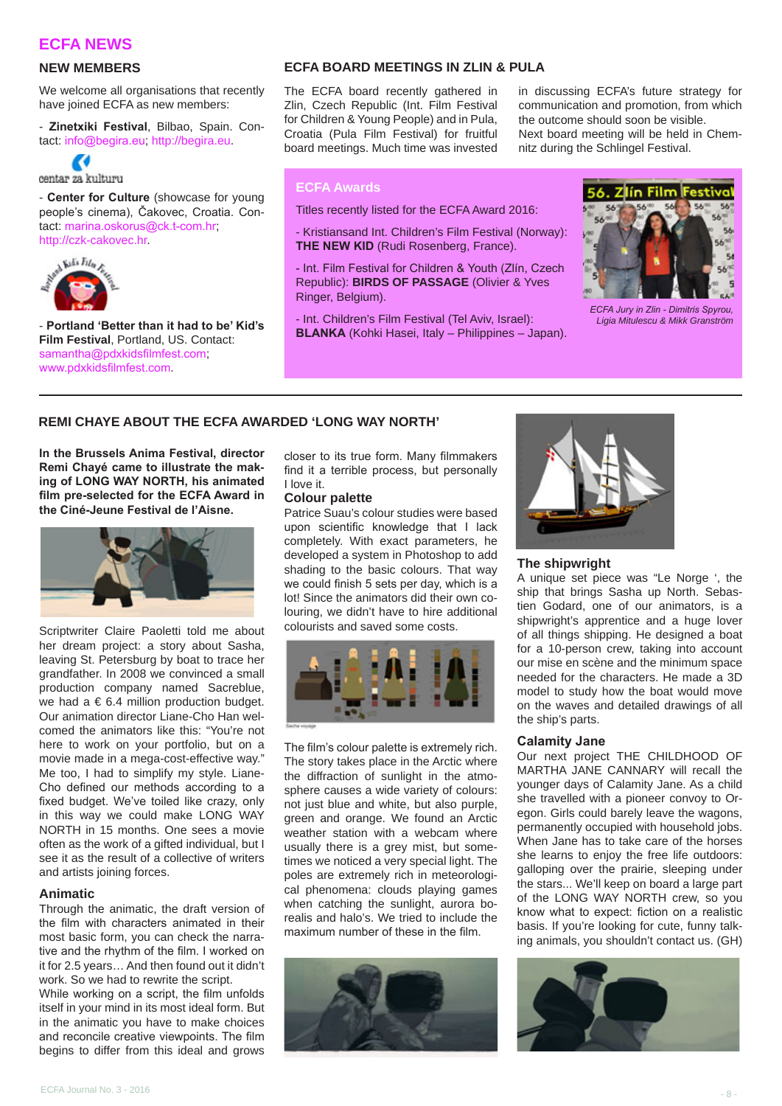#### **ECFA NEWS**

#### **NEW MEMBERS**

We welcome all organisations that recently have joined ECFA as new members:

- **Zinetxiki Festival**, Bilbao, Spain. Contact: [info@begira.eu](mailto:info%40begira.eu?subject=); [http://begira.eu.](http://begira.eu)



centar za kulturu

- **Center for Culture** (showcase for young people's cinema), Čakovec, Croatia. Contact: [marina.oskorus@ck.t-com.hr](mailto:marina.oskorus%40ck.t-com.hr?subject=);



- **Portland 'Better than it had to be' Kid's Film Festival**, Portland, US. Contact: [samantha@pdxkidsfilmfest.com](mailto:samantha%40pdxkidsfilmfest.com?subject=); [www.pdxkidsfilmfest.com](http://www.pdxkidsfilmfest.com).

#### **ECFA BOARD MEETINGS IN ZLIN & PULA**

The ECFA board recently gathered in Zlin, Czech Republic (Int. Film Festival for Children & Young People) and in Pula, Croatia (Pula Film Festival) for fruitful board meetings. Much time was invested

in discussing ECFA's future strategy for communication and promotion, from which the outcome should soon be visible. Next board meeting will be held in Chemnitz during the Schlingel Festival.

#### **ECFA Awards**

Titles recently listed for the ECFA Award 2016:

- Kristiansand Int. Children's Film Festival (Norway): **THE NEW KID** (Rudi Rosenberg, France).

- Int. Film Festival for Children & Youth (Zlín, Czech Republic): **BIRDS OF PASSAGE** (Olivier & Yves Ringer, Belgium).

- Int. Children's Film Festival (Tel Aviv, Israel): **BLANKA** (Kohki Hasei, Italy – Philippines – Japan).



*ECFA Jury in Zlin - Dimitris Spyrou, Ligia Mitulescu & Mikk Granström*

#### **REMI CHAYE ABOUT THE ECFA AWARDED 'LONG WAY NORTH'**

**In the Brussels Anima Festival, director Remi Chayé came to illustrate the making of LONG WAY NORTH, his animated film pre-selected for the ECFA Award in the Ciné-Jeune Festival de l'Aisne.**



Scriptwriter Claire Paoletti told me about her dream project: a story about Sasha, leaving St. Petersburg by boat to trace her grandfather. In 2008 we convinced a small production company named Sacreblue, we had a  $\epsilon$  6.4 million production budget. Our animation director Liane-Cho Han welcomed the animators like this: "You're not here to work on your portfolio, but on a movie made in a mega-cost-effective way." Me too, I had to simplify my style. Liane-Cho defined our methods according to a fixed budget. We've toiled like crazy, only in this way we could make LONG WAY NORTH in 15 months. One sees a movie often as the work of a gifted individual, but I see it as the result of a collective of writers and artists joining forces.

#### **Animatic**

Through the animatic, the draft version of the film with characters animated in their most basic form, you can check the narrative and the rhythm of the film. I worked on it for 2.5 years… And then found out it didn't work. So we had to rewrite the script.

While working on a script, the film unfolds itself in your mind in its most ideal form. But in the animatic you have to make choices and reconcile creative viewpoints. The film begins to differ from this ideal and grows

closer to its true form. Many filmmakers find it a terrible process, but personally I love it.

#### **Colour palette**

Patrice Suau's colour studies were based upon scientific knowledge that I lack completely. With exact parameters, he developed a system in Photoshop to add shading to the basic colours. That way we could finish 5 sets per day, which is a lot! Since the animators did their own colouring, we didn't have to hire additional colourists and saved some costs.



The film's colour palette is extremely rich. The story takes place in the Arctic where the diffraction of sunlight in the atmosphere causes a wide variety of colours: not just blue and white, but also purple, green and orange. We found an Arctic weather station with a webcam where usually there is a grey mist, but sometimes we noticed a very special light. The poles are extremely rich in meteorological phenomena: clouds playing games when catching the sunlight, aurora borealis and halo's. We tried to include the maximum number of these in the film.





#### **The shipwright**

A unique set piece was "Le Norge ', the ship that brings Sasha up North. Sebastien Godard, one of our animators, is a shipwright's apprentice and a huge lover of all things shipping. He designed a boat for a 10-person crew, taking into account our mise en scène and the minimum space needed for the characters. He made a 3D model to study how the boat would move on the waves and detailed drawings of all the ship's parts.

#### **Calamity Jane**

Our next project THE CHILDHOOD OF MARTHA JANE CANNARY will recall the younger days of Calamity Jane. As a child she travelled with a pioneer convoy to Oregon. Girls could barely leave the wagons, permanently occupied with household jobs. When Jane has to take care of the horses she learns to enjoy the free life outdoors: galloping over the prairie, sleeping under the stars... We'll keep on board a large part of the LONG WAY NORTH crew, so you know what to expect: fiction on a realistic basis. If you're looking for cute, funny talking animals, you shouldn't contact us. (GH)

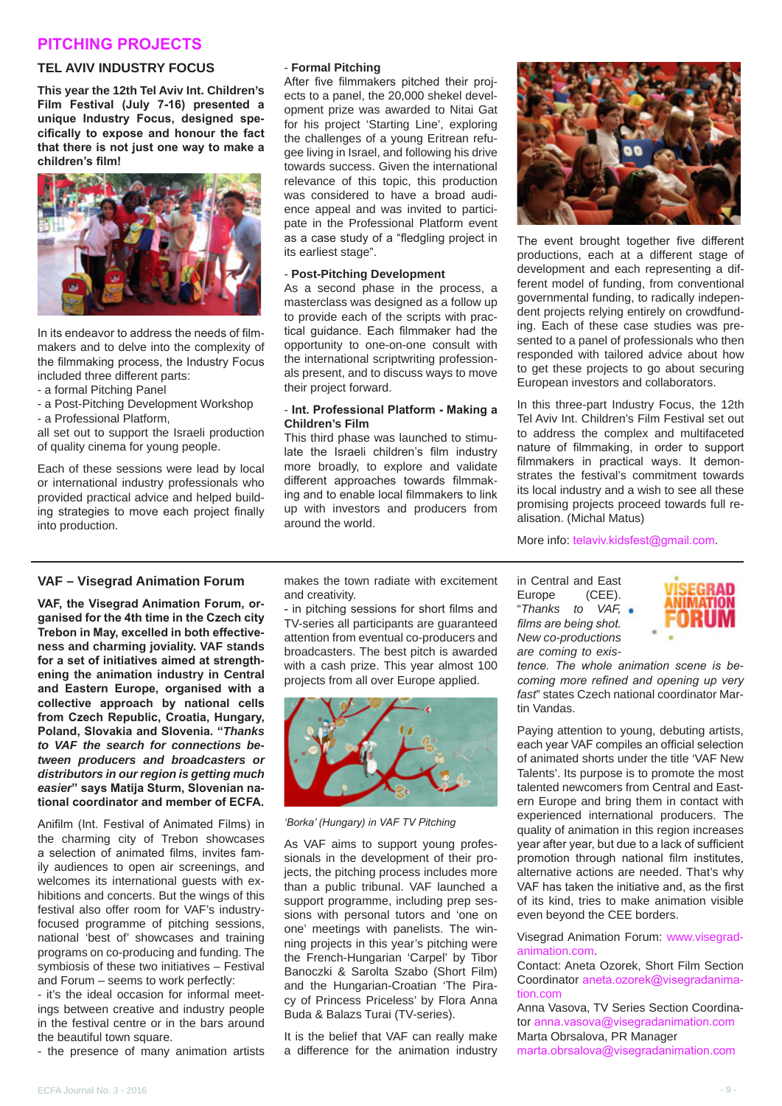#### **PITCHING PROJECTS**

#### **TEL AVIV INDUSTRY FOCUS**

**This year the 12th Tel Aviv Int. Children's Film Festival (July 7-16) presented a unique Industry Focus, designed specifically to expose and honour the fact that there is not just one way to make a children's film!**



In its endeavor to address the needs of filmmakers and to delve into the complexity of the filmmaking process, the Industry Focus included three different parts:

- a formal Pitching Panel
- a Post-Pitching Development Workshop - a Professional Platform,

all set out to support the Israeli production of quality cinema for young people.

Each of these sessions were lead by local or international industry professionals who provided practical advice and helped building strategies to move each project finally into production.

#### - **Formal Pitching**

After five filmmakers pitched their projects to a panel, the 20,000 shekel development prize was awarded to Nitai Gat for his project 'Starting Line', exploring the challenges of a young Eritrean refugee living in Israel, and following his drive towards success. Given the international relevance of this topic, this production was considered to have a broad audience appeal and was invited to participate in the Professional Platform event as a case study of a "fledgling project in its earliest stage".

#### - **Post-Pitching Development**

As a second phase in the process, a masterclass was designed as a follow up to provide each of the scripts with practical guidance. Each filmmaker had the opportunity to one-on-one consult with the international scriptwriting professionals present, and to discuss ways to move their project forward.

#### - **Int. Professional Platform - Making a Children's Film**

This third phase was launched to stimulate the Israeli children's film industry more broadly, to explore and validate different approaches towards filmmaking and to enable local filmmakers to link up with investors and producers from around the world.



The event brought together five different productions, each at a different stage of development and each representing a different model of funding, from conventional governmental funding, to radically independent projects relying entirely on crowdfunding. Each of these case studies was presented to a panel of professionals who then responded with tailored advice about how to get these projects to go about securing European investors and collaborators.

In this three-part Industry Focus, the 12th Tel Aviv Int. Children's Film Festival set out to address the complex and multifaceted nature of filmmaking, in order to support filmmakers in practical ways. It demonstrates the festival's commitment towards its local industry and a wish to see all these promising projects proceed towards full realisation. (Michal Matus)

More info: [telaviv.kidsfest@gmail.com](mailto:telaviv.kidsfest%40gmail.com?subject=).

#### **VAF – Visegrad Animation Forum**

**VAF, the Visegrad Animation Forum, organised for the 4th time in the Czech city Trebon in May, excelled in both effectiveness and charming joviality. VAF stands for a set of initiatives aimed at strengthening the animation industry in Central and Eastern Europe, organised with a collective approach by national cells from Czech Republic, Croatia, Hungary, Poland, Slovakia and Slovenia. "***Thanks to VAF the search for connections between producers and broadcasters or distributors in our region is getting much easier***" says Matija Sturm, Slovenian national coordinator and member of ECFA.**

Anifilm (Int. Festival of Animated Films) in the charming city of Trebon showcases a selection of animated films, invites family audiences to open air screenings, and welcomes its international guests with exhibitions and concerts. But the wings of this festival also offer room for VAF's industryfocused programme of pitching sessions, national 'best of' showcases and training programs on co-producing and funding. The symbiosis of these two initiatives – Festival and Forum – seems to work perfectly:

- it's the ideal occasion for informal meetings between creative and industry people in the festival centre or in the bars around the beautiful town square.

- the presence of many animation artists

makes the town radiate with excitement and creativity.

- in pitching sessions for short films and TV-series all participants are guaranteed attention from eventual co-producers and broadcasters. The best pitch is awarded with a cash prize. This year almost 100 projects from all over Europe applied.



*'Borka' (Hungary) in VAF TV Pitching*

As VAF aims to support young professionals in the development of their projects, the pitching process includes more than a public tribunal. VAF launched a support programme, including prep sessions with personal tutors and 'one on one' meetings with panelists. The winning projects in this year's pitching were the French-Hungarian 'Carpel' by Tibor Banoczki & Sarolta Szabo (Short Film) and the Hungarian-Croatian 'The Piracy of Princess Priceless' by Flora Anna Buda & Balazs Turai (TV-series).

It is the belief that VAF can really make a difference for the animation industry in Central and East<br>Europe (CEE)  $(CEE)$ . "*Thanks to VAF, films are being shot. New co-productions are coming to exis-*



*tence. The whole animation scene is becoming more refined and opening up very fast*" states Czech national coordinator Martin Vandas.

Paying attention to young, debuting artists, each year VAF compiles an official selection of animated shorts under the title 'VAF New Talents'. Its purpose is to promote the most talented newcomers from Central and Eastern Europe and bring them in contact with experienced international producers. The quality of animation in this region increases year after year, but due to a lack of sufficient promotion through national film institutes, alternative actions are needed. That's why VAF has taken the initiative and, as the first of its kind, tries to make animation visible even beyond the CEE borders.

#### Visegrad Animation Forum: [www.visegrad](http://www.visegradanimation.com)[animation.com](http://www.visegradanimation.com).

Contact: Aneta Ozorek, Short Film Section Coordinator [aneta.ozorek@visegradanima](mailto:aneta.ozorek%40visegradanimation.com?subject=)[tion.com](mailto:aneta.ozorek%40visegradanimation.com?subject=)

Anna Vasova, TV Series Section Coordinator [anna.vasova@visegradanimation.com](mailto:anna.vasova%40visegradanimation.com?subject=) Marta Obrsalova, PR Manager

[marta.obrsalova@visegradanimation.com](mailto:marta.obrsalova%40visegradanimation.com?subject=)